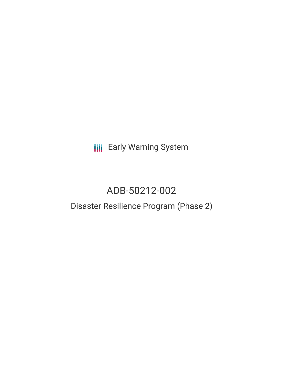**III** Early Warning System

# ADB-50212-002

## Disaster Resilience Program (Phase 2)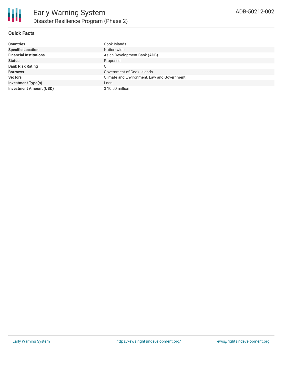### **Quick Facts**

| <b>Countries</b>               | Cook Islands                                |
|--------------------------------|---------------------------------------------|
| <b>Specific Location</b>       | Nation-wide                                 |
| <b>Financial Institutions</b>  | Asian Development Bank (ADB)                |
| <b>Status</b>                  | Proposed                                    |
| <b>Bank Risk Rating</b>        | C                                           |
| <b>Borrower</b>                | Government of Cook Islands                  |
| <b>Sectors</b>                 | Climate and Environment, Law and Government |
| <b>Investment Type(s)</b>      | Loan                                        |
| <b>Investment Amount (USD)</b> | \$10.00 million                             |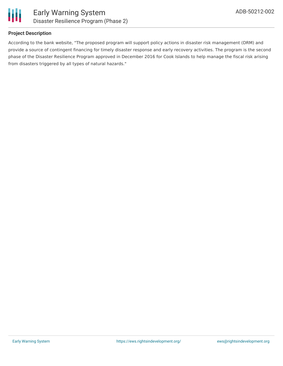

## **Project Description**

According to the bank website, "The proposed program will support policy actions in disaster risk management (DRM) and provide a source of contingent financing for timely disaster response and early recovery activities. The program is the second phase of the Disaster Resilience Program approved in December 2016 for Cook Islands to help manage the fiscal risk arising from disasters triggered by all types of natural hazards."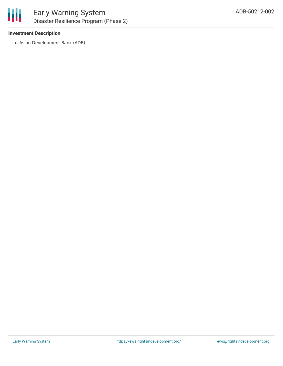

### **Investment Description**

Asian Development Bank (ADB)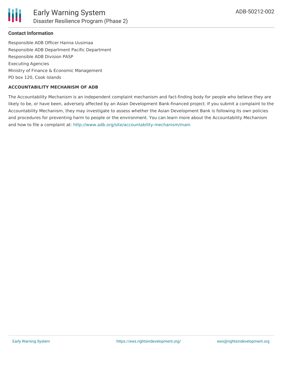## **Contact Information**

Responsible ADB Officer Hanna Uusimaa Responsible ADB Department Pacific Department Responsible ADB Division PASP Executing Agencies Ministry of Finance & Economic Management PO box 120, Cook Islands

## **ACCOUNTABILITY MECHANISM OF ADB**

The Accountability Mechanism is an independent complaint mechanism and fact-finding body for people who believe they are likely to be, or have been, adversely affected by an Asian Development Bank-financed project. If you submit a complaint to the Accountability Mechanism, they may investigate to assess whether the Asian Development Bank is following its own policies and procedures for preventing harm to people or the environment. You can learn more about the Accountability Mechanism and how to file a complaint at: <http://www.adb.org/site/accountability-mechanism/main>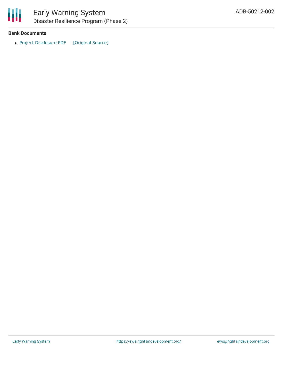

#### **Bank Documents**

• Project [Disclosure](https://ewsdata.rightsindevelopment.org/files/documents/02/ADB-50212-002.pdf) PDF [\[Original](https://www.adb.org/printpdf/projects/50212-002/main) Source]